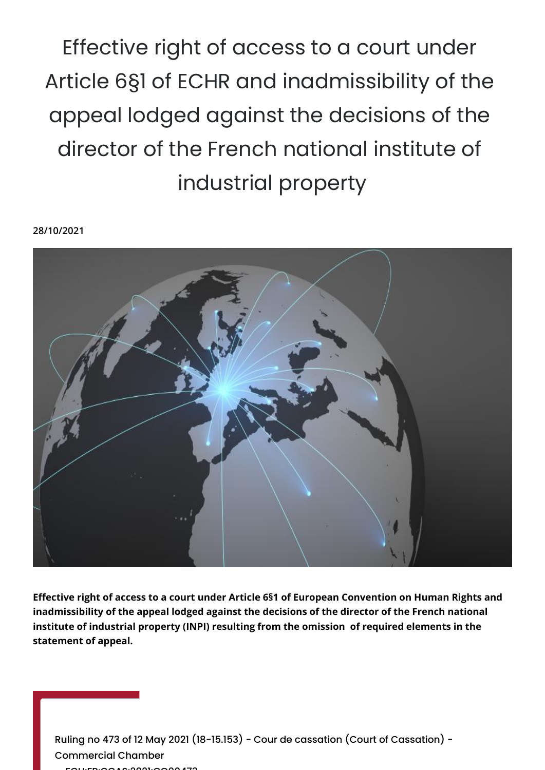Effective right of access to a court under Article 6§1 of ECHR and inadmissibility of the appeal lodged against the decisions of the director of the French national institute of industrial property

**28/10/2021**



**Effective right of access to a court under Article 6§1 of European Convention on Human Rights and inadmissibility of the appeal lodged against the decisions of the director of the French national institute of industrial property (INPI) resulting from the omission of required elements in the statement of appeal.**

Ruling no 473 of 12 May 2021 (18-15.153) - Cour de cassation (Court of Cassation) - Commercial Chamber - ECLI:FR:CCAS:2021:CO00473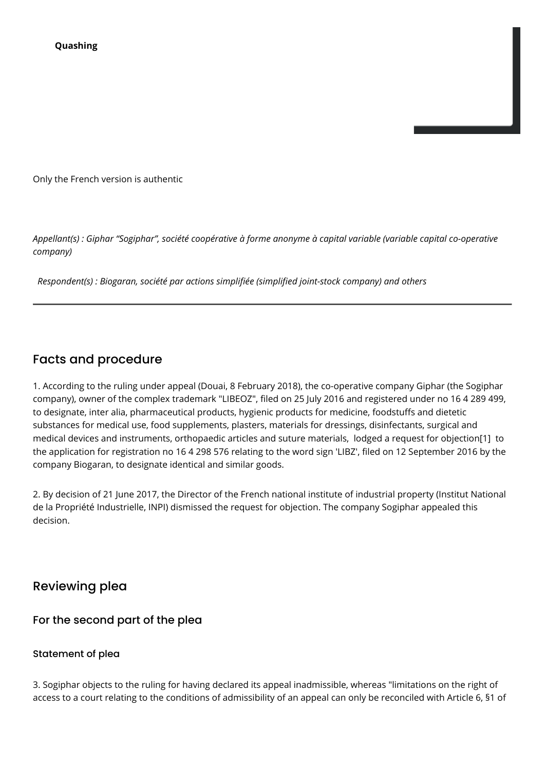Only the French version is authentic

*Appellant(s) : Giphar "Sogiphar", société coopérative à forme anonyme à capital variable (variable capital co-operative company)*

 *Respondent(s) : Biogaran, société par actions simplifiée (simplified joint-stock company) and others*

# Facts and procedure

1. According to the ruling under appeal (Douai, 8 February 2018), the co-operative company Giphar (the Sogiphar company), owner of the complex trademark "LIBEOZ", filed on 25 July 2016 and registered under no 16 4 289 499, to designate, inter alia, pharmaceutical products, hygienic products for medicine, foodstuffs and dietetic substances for medical use, food supplements, plasters, materials for dressings, disinfectants, surgical and medical devices and instruments, orthopaedic articles and suture materials, lodged a request for objection[1] to the application for registration no 16 4 298 576 relating to the word sign 'LIBZ', filed on 12 September 2016 by the company Biogaran, to designate identical and similar goods.

2. By decision of 21 June 2017, the Director of the French national institute of industrial property (Institut National de la Propriété Industrielle, INPI) dismissed the request for objection. The company Sogiphar appealed this decision.

# Reviewing plea

### For the second part of the plea

#### Statement of plea

3. Sogiphar objects to the ruling for having declared its appeal inadmissible, whereas "limitations on the right of access to a court relating to the conditions of admissibility of an appeal can only be reconciled with Article 6, §1 of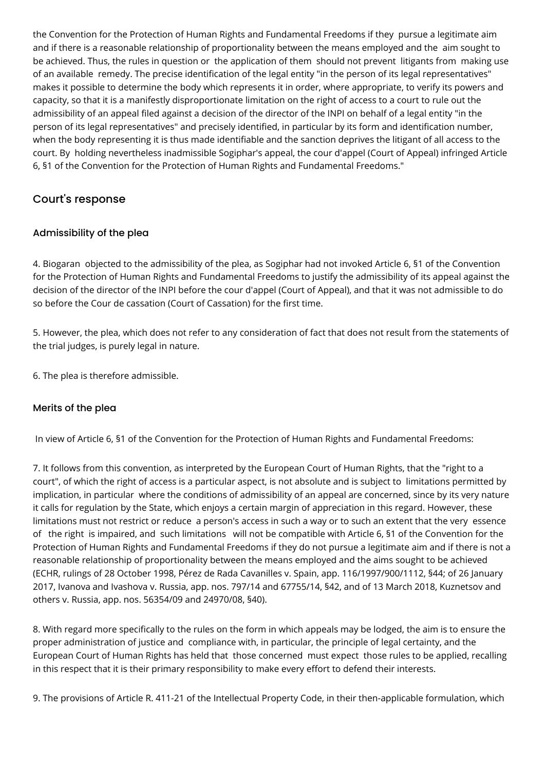the Convention for the Protection of Human Rights and Fundamental Freedoms if they pursue a legitimate aim and if there is a reasonable relationship of proportionality between the means employed and the aim sought to be achieved. Thus, the rules in question or the application of them should not prevent litigants from making use of an available remedy. The precise identification of the legal entity "in the person of its legal representatives" makes it possible to determine the body which represents it in order, where appropriate, to verify its powers and capacity, so that it is a manifestly disproportionate limitation on the right of access to a court to rule out the admissibility of an appeal filed against a decision of the director of the INPI on behalf of a legal entity "in the person of its legal representatives" and precisely identified, in particular by its form and identification number, when the body representing it is thus made identifiable and the sanction deprives the litigant of all access to the court. By holding nevertheless inadmissible Sogiphar's appeal, the cour d'appel (Court of Appeal) infringed Article 6, §1 of the Convention for the Protection of Human Rights and Fundamental Freedoms."

## Court's response

## Admissibility of the plea

4. Biogaran objected to the admissibility of the plea, as Sogiphar had not invoked Article 6, §1 of the Convention for the Protection of Human Rights and Fundamental Freedoms to justify the admissibility of its appeal against the decision of the director of the INPI before the cour d'appel (Court of Appeal), and that it was not admissible to do so before the Cour de cassation (Court of Cassation) for the first time.

5. However, the plea, which does not refer to any consideration of fact that does not result from the statements of the trial judges, is purely legal in nature.

6. The plea is therefore admissible.

### Merits of the plea

In view of Article 6, §1 of the Convention for the Protection of Human Rights and Fundamental Freedoms:

7. It follows from this convention, as interpreted by the European Court of Human Rights, that the "right to a court", of which the right of access is a particular aspect, is not absolute and is subject to limitations permitted by implication, in particular where the conditions of admissibility of an appeal are concerned, since by its very nature it calls for regulation by the State, which enjoys a certain margin of appreciation in this regard. However, these limitations must not restrict or reduce a person's access in such a way or to such an extent that the very essence of the right is impaired, and such limitations will not be compatible with Article 6, §1 of the Convention for the Protection of Human Rights and Fundamental Freedoms if they do not pursue a legitimate aim and if there is not a reasonable relationship of proportionality between the means employed and the aims sought to be achieved (ECHR, rulings of 28 October 1998, Pérez de Rada Cavanilles v. Spain, app. 116/1997/900/1112, §44; of 26 January 2017, Ivanova and Ivashova v. Russia, app. nos. 797/14 and 67755/14, §42, and of 13 March 2018, Kuznetsov and others v. Russia, app. nos. 56354/09 and 24970/08, §40).

8. With regard more specifically to the rules on the form in which appeals may be lodged, the aim is to ensure the proper administration of justice and compliance with, in particular, the principle of legal certainty, and the European Court of Human Rights has held that those concerned must expect those rules to be applied, recalling in this respect that it is their primary responsibility to make every effort to defend their interests.

9. The provisions of Article R. 411-21 of the Intellectual Property Code, in their then-applicable formulation, which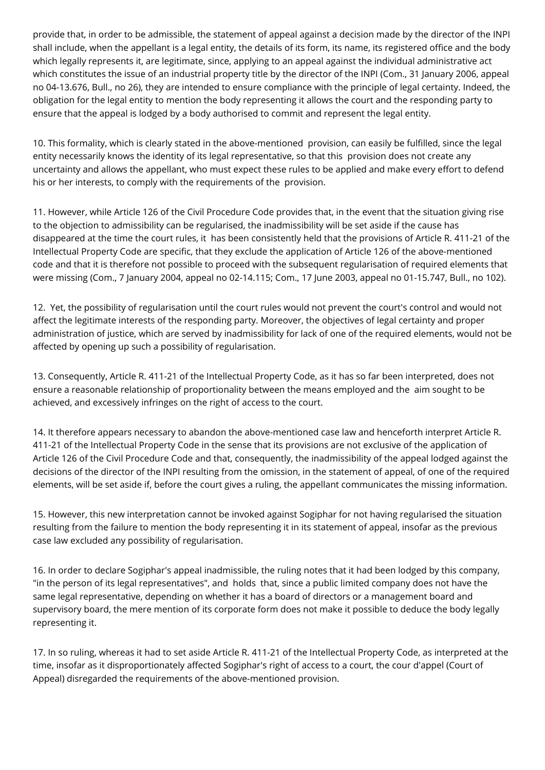provide that, in order to be admissible, the statement of appeal against a decision made by the director of the INPI shall include, when the appellant is a legal entity, the details of its form, its name, its registered office and the body which legally represents it, are legitimate, since, applying to an appeal against the individual administrative act which constitutes the issue of an industrial property title by the director of the INPI (Com., 31 January 2006, appeal no 04-13.676, Bull., no 26), they are intended to ensure compliance with the principle of legal certainty. Indeed, the obligation for the legal entity to mention the body representing it allows the court and the responding party to ensure that the appeal is lodged by a body authorised to commit and represent the legal entity.

10. This formality, which is clearly stated in the above-mentioned provision, can easily be fulfilled, since the legal entity necessarily knows the identity of its legal representative, so that this provision does not create any uncertainty and allows the appellant, who must expect these rules to be applied and make every effort to defend his or her interests, to comply with the requirements of the provision.

11. However, while Article 126 of the Civil Procedure Code provides that, in the event that the situation giving rise to the objection to admissibility can be regularised, the inadmissibility will be set aside if the cause has disappeared at the time the court rules, it has been consistently held that the provisions of Article R. 411-21 of the Intellectual Property Code are specific, that they exclude the application of Article 126 of the above-mentioned code and that it is therefore not possible to proceed with the subsequent regularisation of required elements that were missing (Com., 7 January 2004, appeal no 02-14.115; Com., 17 June 2003, appeal no 01-15.747, Bull., no 102).

12. Yet, the possibility of regularisation until the court rules would not prevent the court's control and would not affect the legitimate interests of the responding party. Moreover, the objectives of legal certainty and proper administration of justice, which are served by inadmissibility for lack of one of the required elements, would not be affected by opening up such a possibility of regularisation.

13. Consequently, Article R. 411-21 of the Intellectual Property Code, as it has so far been interpreted, does not ensure a reasonable relationship of proportionality between the means employed and the aim sought to be achieved, and excessively infringes on the right of access to the court.

14. It therefore appears necessary to abandon the above-mentioned case law and henceforth interpret Article R. 411-21 of the Intellectual Property Code in the sense that its provisions are not exclusive of the application of Article 126 of the Civil Procedure Code and that, consequently, the inadmissibility of the appeal lodged against the decisions of the director of the INPI resulting from the omission, in the statement of appeal, of one of the required elements, will be set aside if, before the court gives a ruling, the appellant communicates the missing information.

15. However, this new interpretation cannot be invoked against Sogiphar for not having regularised the situation resulting from the failure to mention the body representing it in its statement of appeal, insofar as the previous case law excluded any possibility of regularisation.

16. In order to declare Sogiphar's appeal inadmissible, the ruling notes that it had been lodged by this company, "in the person of its legal representatives", and holds that, since a public limited company does not have the same legal representative, depending on whether it has a board of directors or a management board and supervisory board, the mere mention of its corporate form does not make it possible to deduce the body legally representing it.

17. In so ruling, whereas it had to set aside Article R. 411-21 of the Intellectual Property Code, as interpreted at the time, insofar as it disproportionately affected Sogiphar's right of access to a court, the cour d'appel (Court of Appeal) disregarded the requirements of the above-mentioned provision.